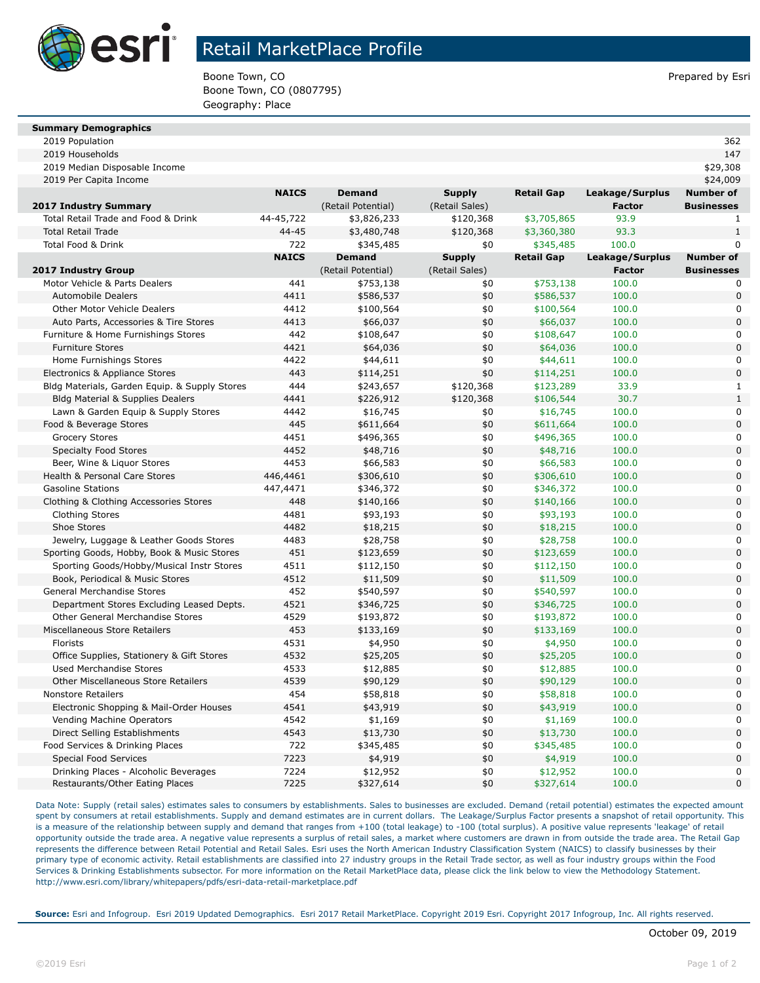

## Retail MarketPlace Profile

Boone Town, CO **Prepared by Esri** Prepared by Esri Boone Town, CO (0807795) Geography: Place

| <b>Summary Demographics</b> |  |  |  |
|-----------------------------|--|--|--|
|-----------------------------|--|--|--|

2019 Population 362

| 2019 Households                               |              |                    |                |                   |                 | 147               |
|-----------------------------------------------|--------------|--------------------|----------------|-------------------|-----------------|-------------------|
| 2019 Median Disposable Income                 |              |                    |                |                   |                 | \$29,308          |
| 2019 Per Capita Income                        |              |                    |                |                   |                 | \$24,009          |
|                                               | <b>NAICS</b> | <b>Demand</b>      | <b>Supply</b>  | <b>Retail Gap</b> | Leakage/Surplus | <b>Number of</b>  |
| 2017 Industry Summary                         |              | (Retail Potential) | (Retail Sales) |                   | <b>Factor</b>   | <b>Businesses</b> |
| Total Retail Trade and Food & Drink           | 44-45,722    | \$3,826,233        | \$120,368      | \$3,705,865       | 93.9            | 1                 |
| <b>Total Retail Trade</b>                     | $44 - 45$    | \$3,480,748        | \$120,368      | \$3,360,380       | 93.3            | $\mathbf{1}$      |
| Total Food & Drink                            | 722          | \$345,485          | \$0            | \$345,485         | 100.0           | $\mathbf{0}$      |
|                                               | <b>NAICS</b> | <b>Demand</b>      | <b>Supply</b>  | <b>Retail Gap</b> | Leakage/Surplus | <b>Number of</b>  |
| 2017 Industry Group                           |              | (Retail Potential) | (Retail Sales) |                   | <b>Factor</b>   | <b>Businesses</b> |
| Motor Vehicle & Parts Dealers                 | 441          | \$753,138          | \$0            | \$753,138         | 100.0           | 0                 |
| Automobile Dealers                            | 4411         | \$586,537          | \$0            | \$586,537         | 100.0           | $\Omega$          |
| <b>Other Motor Vehicle Dealers</b>            | 4412         | \$100,564          | \$0            | \$100,564         | 100.0           | $\Omega$          |
| Auto Parts, Accessories & Tire Stores         | 4413         | \$66,037           | \$0            | \$66,037          | 100.0           | $\Omega$          |
| Furniture & Home Furnishings Stores           | 442          | \$108,647          | \$0            | \$108,647         | 100.0           | $\Omega$          |
| <b>Furniture Stores</b>                       | 4421         | \$64,036           | \$0            | \$64,036          | 100.0           | $\overline{0}$    |
| Home Furnishings Stores                       | 4422         | \$44,611           | \$0            | \$44,611          | 100.0           | $\Omega$          |
| Electronics & Appliance Stores                | 443          | \$114,251          | \$0            | \$114,251         | 100.0           | $\overline{0}$    |
| Bldg Materials, Garden Equip. & Supply Stores | 444          | \$243,657          | \$120,368      | \$123,289         | 33.9            | $\mathbf{1}$      |
| Bldg Material & Supplies Dealers              | 4441         | \$226,912          | \$120,368      | \$106,544         | 30.7            | $\mathbf{1}$      |
| Lawn & Garden Equip & Supply Stores           | 4442         | \$16,745           | \$0            | \$16,745          | 100.0           | $\mathbf 0$       |
| Food & Beverage Stores                        | 445          | \$611,664          | \$0            | \$611,664         | 100.0           | $\overline{0}$    |
| <b>Grocery Stores</b>                         | 4451         | \$496,365          | \$0            | \$496,365         | 100.0           | $\mathbf 0$       |
| <b>Specialty Food Stores</b>                  | 4452         | \$48,716           | \$0            | \$48,716          | 100.0           | $\overline{0}$    |
| Beer, Wine & Liguor Stores                    | 4453         | \$66,583           | \$0            | \$66,583          | 100.0           | $\mathbf 0$       |
| Health & Personal Care Stores                 | 446,4461     | \$306,610          | \$0            | \$306,610         | 100.0           | $\overline{0}$    |
| <b>Gasoline Stations</b>                      | 447,4471     | \$346,372          | \$0            | \$346,372         | 100.0           | $\mathbf 0$       |
| Clothing & Clothing Accessories Stores        | 448          | \$140,166          | \$0            | \$140,166         | 100.0           | $\overline{0}$    |
| <b>Clothing Stores</b>                        | 4481         | \$93,193           | \$0            | \$93,193          | 100.0           | 0                 |
| Shoe Stores                                   | 4482         | \$18,215           | \$0            | \$18,215          | 100.0           | $\overline{0}$    |
| Jewelry, Luggage & Leather Goods Stores       | 4483         | \$28,758           | \$0            | \$28,758          | 100.0           | 0                 |
| Sporting Goods, Hobby, Book & Music Stores    | 451          | \$123,659          | \$0            | \$123,659         | 100.0           | $\overline{0}$    |
| Sporting Goods/Hobby/Musical Instr Stores     | 4511         | \$112,150          | \$0            | \$112,150         | 100.0           | 0                 |
| Book, Periodical & Music Stores               | 4512         | \$11,509           | \$0            | \$11,509          | 100.0           | $\overline{0}$    |
| General Merchandise Stores                    | 452          | \$540,597          | \$0            | \$540,597         | 100.0           | 0                 |
| Department Stores Excluding Leased Depts.     | 4521         | \$346,725          | \$0            | \$346,725         | 100.0           | $\overline{0}$    |
| Other General Merchandise Stores              | 4529         | \$193,872          | \$0            | \$193,872         | 100.0           | 0                 |
| Miscellaneous Store Retailers                 | 453          | \$133,169          | \$0            | \$133,169         | 100.0           | $\overline{0}$    |
| Florists                                      | 4531         | \$4,950            | \$0            | \$4,950           | 100.0           | $\mathbf 0$       |
| Office Supplies, Stationery & Gift Stores     | 4532         | \$25,205           | \$0            | \$25,205          | 100.0           | $\overline{0}$    |
| <b>Used Merchandise Stores</b>                | 4533         | \$12,885           | \$0            | \$12,885          | 100.0           | $\mathbf 0$       |
| <b>Other Miscellaneous Store Retailers</b>    | 4539         | \$90,129           | \$0            | \$90,129          | 100.0           | $\overline{0}$    |
| <b>Nonstore Retailers</b>                     | 454          | \$58,818           | \$0            | \$58,818          | 100.0           | $\mathbf 0$       |
| Electronic Shopping & Mail-Order Houses       | 4541         | \$43,919           | \$0            | \$43,919          | 100.0           | $\Omega$          |
| Vending Machine Operators                     | 4542         | \$1,169            | \$0            | \$1,169           | 100.0           | $\mathbf 0$       |
| Direct Selling Establishments                 | 4543         | \$13,730           | \$0            | \$13,730          | 100.0           | $\mathbf 0$       |
| Food Services & Drinking Places               | 722          | \$345,485          | \$0            | \$345,485         | 100.0           | $\mathbf 0$       |
| <b>Special Food Services</b>                  | 7223         | \$4,919            | \$0            | \$4,919           | 100.0           | $\Omega$          |
| Drinking Places - Alcoholic Beverages         | 7224         | \$12,952           | \$0            | \$12,952          | 100.0           | $\mathbf 0$       |
| Restaurants/Other Eating Places               | 7225         | \$327,614          | \$0            | \$327,614         | 100.0           | $\overline{0}$    |

Data Note: Supply (retail sales) estimates sales to consumers by establishments. Sales to businesses are excluded. Demand (retail potential) estimates the expected amount spent by consumers at retail establishments. Supply and demand estimates are in current dollars. The Leakage/Surplus Factor presents a snapshot of retail opportunity. This is a measure of the relationship between supply and demand that ranges from +100 (total leakage) to -100 (total surplus). A positive value represents 'leakage' of retail opportunity outside the trade area. A negative value represents a surplus of retail sales, a market where customers are drawn in from outside the trade area. The Retail Gap represents the difference between Retail Potential and Retail Sales. Esri uses the North American Industry Classification System (NAICS) to classify businesses by their primary type of economic activity. Retail establishments are classified into 27 industry groups in the Retail Trade sector, as well as four industry groups within the Food Services & Drinking Establishments subsector. For more information on the Retail MarketPlace data, please click the link below to view the Methodology Statement. http://www.esri.com/library/whitepapers/pdfs/esri-data-retail-marketplace.pdf

**Source:** Esri and Infogroup. Esri 2019 Updated Demographics. Esri 2017 Retail MarketPlace. Copyright 2019 Esri. Copyright 2017 Infogroup, Inc. All rights reserved.